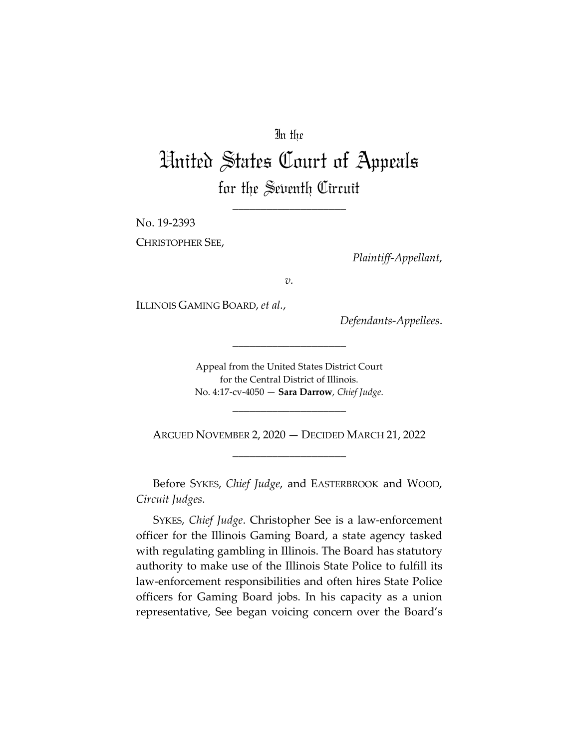# In the

# United States Court of Appeals for the Seventh Circuit

\_\_\_\_\_\_\_\_\_\_\_\_\_\_\_\_\_\_\_\_

No. 19-2393

CHRISTOPHER SEE,

*Plaintiff-Appellant*,

*v.*

ILLINOIS GAMING BOARD, *et al.*,

*Defendants-Appellees*.

Appeal from the United States District Court for the Central District of Illinois. No. 4:17-cv-4050 — **Sara Darrow**, *Chief Judge*.

\_\_\_\_\_\_\_\_\_\_\_\_\_\_\_\_\_\_\_\_

\_\_\_\_\_\_\_\_\_\_\_\_\_\_\_\_\_\_\_\_

ARGUED NOVEMBER 2, 2020 — DECIDED MARCH 21, 2022 \_\_\_\_\_\_\_\_\_\_\_\_\_\_\_\_\_\_\_\_

Before SYKES, *Chief Judge*, and EASTERBROOK and WOOD, *Circuit Judges*.

SYKES, *Chief Judge*. Christopher See is a law-enforcement officer for the Illinois Gaming Board, a state agency tasked with regulating gambling in Illinois. The Board has statutory authority to make use of the Illinois State Police to fulfill its law-enforcement responsibilities and often hires State Police officers for Gaming Board jobs. In his capacity as a union representative, See began voicing concern over the Board's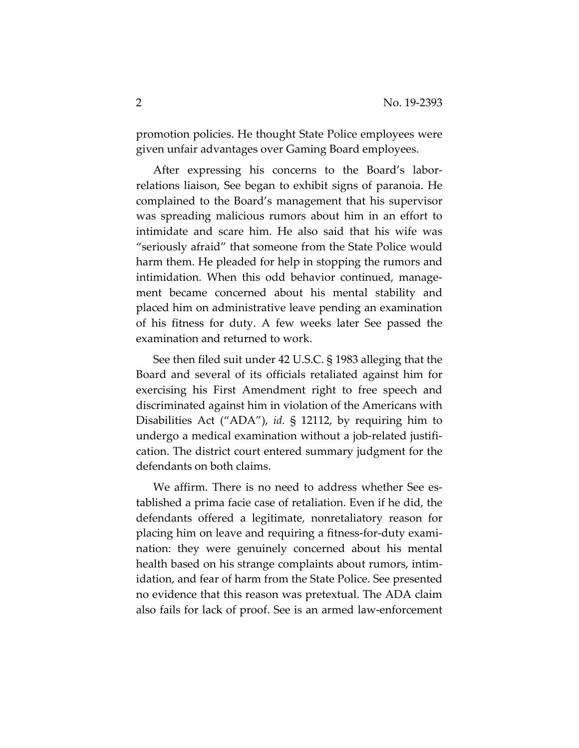promotion policies. He thought State Police employees were given unfair advantages over Gaming Board employees.

After expressing his concerns to the Board's laborrelations liaison, See began to exhibit signs of paranoia. He complained to the Board's management that his supervisor was spreading malicious rumors about him in an effort to intimidate and scare him. He also said that his wife was "seriously afraid" that someone from the State Police would harm them. He pleaded for help in stopping the rumors and intimidation. When this odd behavior continued, management became concerned about his mental stability and placed him on administrative leave pending an examination of his fitness for duty. A few weeks later See passed the examination and returned to work.

See then filed suit under 42 U.S.C. § 1983 alleging that the Board and several of its officials retaliated against him for exercising his First Amendment right to free speech and discriminated against him in violation of the Americans with Disabilities Act ("ADA"), *id.* § 12112, by requiring him to undergo a medical examination without a job-related justification. The district court entered summary judgment for the defendants on both claims.

We affirm. There is no need to address whether See established a prima facie case of retaliation. Even if he did, the defendants offered a legitimate, nonretaliatory reason for placing him on leave and requiring a fitness-for-duty examination: they were genuinely concerned about his mental health based on his strange complaints about rumors, intimidation, and fear of harm from the State Police. See presented no evidence that this reason was pretextual. The ADA claim also fails for lack of proof. See is an armed law-enforcement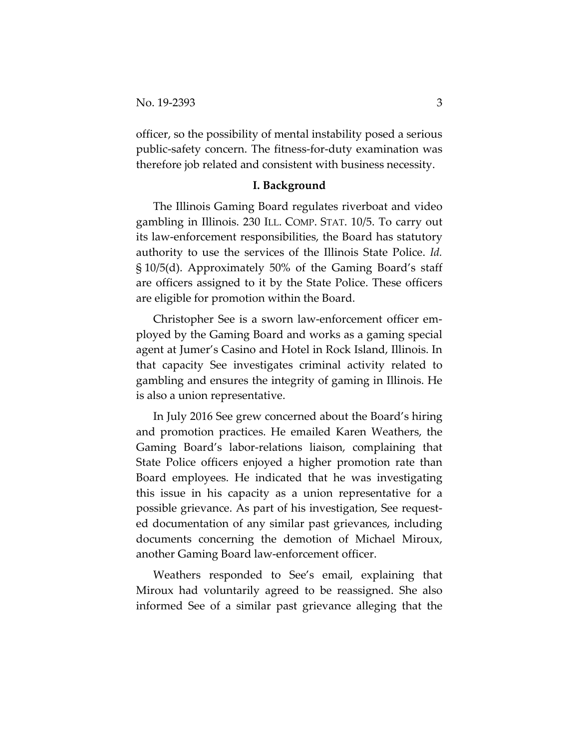officer, so the possibility of mental instability posed a serious public-safety concern. The fitness-for-duty examination was therefore job related and consistent with business necessity.

#### **I. Background**

The Illinois Gaming Board regulates riverboat and video gambling in Illinois. 230 ILL. COMP. STAT. 10/5. To carry out its law-enforcement responsibilities, the Board has statutory authority to use the services of the Illinois State Police. *Id.* § 10/5(d). Approximately 50% of the Gaming Board's staff are officers assigned to it by the State Police. These officers are eligible for promotion within the Board.

Christopher See is a sworn law-enforcement officer employed by the Gaming Board and works as a gaming special agent at Jumer's Casino and Hotel in Rock Island, Illinois. In that capacity See investigates criminal activity related to gambling and ensures the integrity of gaming in Illinois. He is also a union representative.

In July 2016 See grew concerned about the Board's hiring and promotion practices. He emailed Karen Weathers, the Gaming Board's labor-relations liaison, complaining that State Police officers enjoyed a higher promotion rate than Board employees. He indicated that he was investigating this issue in his capacity as a union representative for a possible grievance. As part of his investigation, See requested documentation of any similar past grievances, including documents concerning the demotion of Michael Miroux, another Gaming Board law-enforcement officer.

Weathers responded to See's email, explaining that Miroux had voluntarily agreed to be reassigned. She also informed See of a similar past grievance alleging that the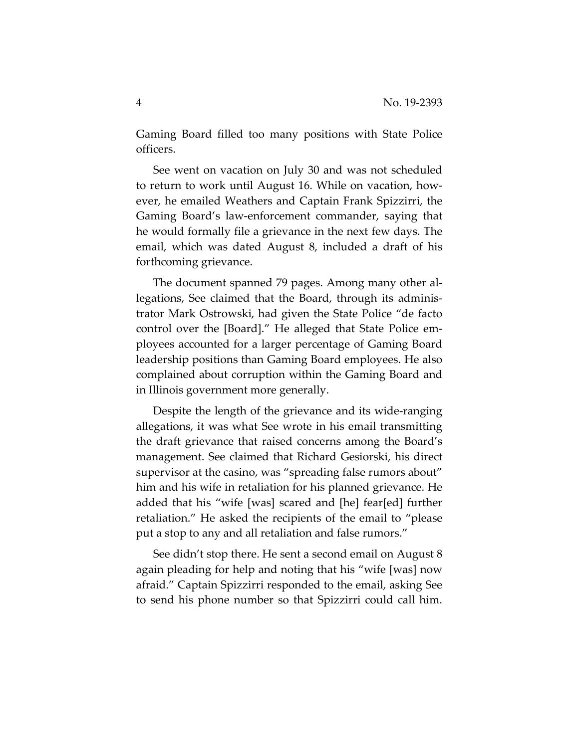Gaming Board filled too many positions with State Police officers.

See went on vacation on July 30 and was not scheduled to return to work until August 16. While on vacation, however, he emailed Weathers and Captain Frank Spizzirri, the Gaming Board's law-enforcement commander, saying that he would formally file a grievance in the next few days. The email, which was dated August 8, included a draft of his forthcoming grievance.

The document spanned 79 pages. Among many other allegations, See claimed that the Board, through its administrator Mark Ostrowski, had given the State Police "de facto control over the [Board]." He alleged that State Police employees accounted for a larger percentage of Gaming Board leadership positions than Gaming Board employees. He also complained about corruption within the Gaming Board and in Illinois government more generally.

Despite the length of the grievance and its wide-ranging allegations, it was what See wrote in his email transmitting the draft grievance that raised concerns among the Board's management. See claimed that Richard Gesiorski, his direct supervisor at the casino, was "spreading false rumors about" him and his wife in retaliation for his planned grievance. He added that his "wife [was] scared and [he] fear[ed] further retaliation." He asked the recipients of the email to "please put a stop to any and all retaliation and false rumors."

See didn't stop there. He sent a second email on August 8 again pleading for help and noting that his "wife [was] now afraid." Captain Spizzirri responded to the email, asking See to send his phone number so that Spizzirri could call him.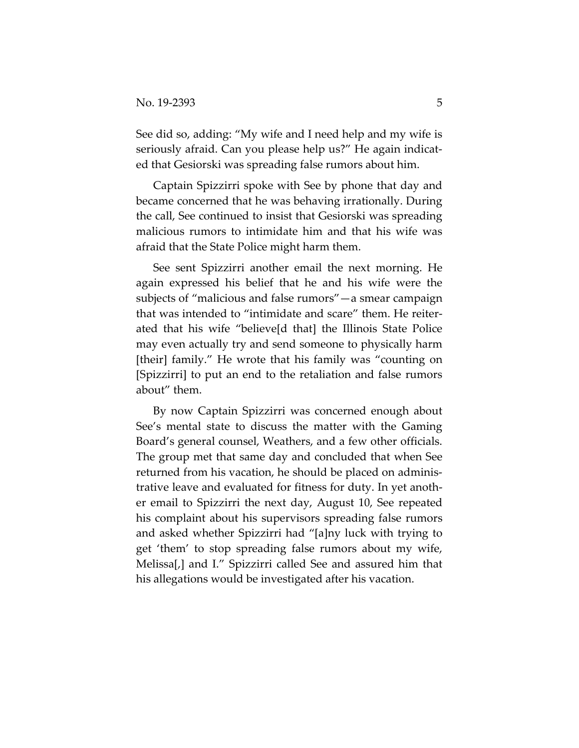See did so, adding: "My wife and I need help and my wife is seriously afraid. Can you please help us?" He again indicated that Gesiorski was spreading false rumors about him.

Captain Spizzirri spoke with See by phone that day and became concerned that he was behaving irrationally. During the call, See continued to insist that Gesiorski was spreading malicious rumors to intimidate him and that his wife was afraid that the State Police might harm them.

See sent Spizzirri another email the next morning. He again expressed his belief that he and his wife were the subjects of "malicious and false rumors"—a smear campaign that was intended to "intimidate and scare" them. He reiterated that his wife "believe[d that] the Illinois State Police may even actually try and send someone to physically harm [their] family." He wrote that his family was "counting on [Spizzirri] to put an end to the retaliation and false rumors about" them.

By now Captain Spizzirri was concerned enough about See's mental state to discuss the matter with the Gaming Board's general counsel, Weathers, and a few other officials. The group met that same day and concluded that when See returned from his vacation, he should be placed on administrative leave and evaluated for fitness for duty. In yet another email to Spizzirri the next day, August 10, See repeated his complaint about his supervisors spreading false rumors and asked whether Spizzirri had "[a]ny luck with trying to get 'them' to stop spreading false rumors about my wife, Melissa[,] and I." Spizzirri called See and assured him that his allegations would be investigated after his vacation.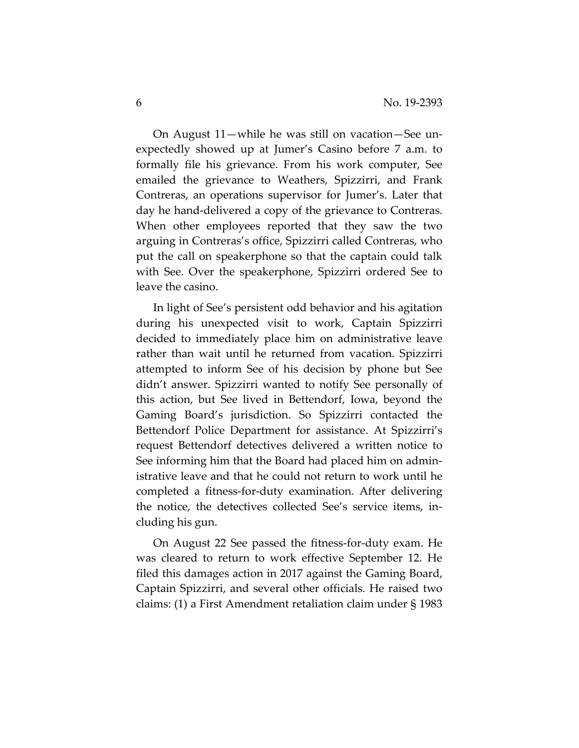On August 11—while he was still on vacation—See unexpectedly showed up at Jumer's Casino before 7 a.m. to formally file his grievance. From his work computer, See emailed the grievance to Weathers, Spizzirri, and Frank Contreras, an operations supervisor for Jumer's. Later that day he hand-delivered a copy of the grievance to Contreras. When other employees reported that they saw the two arguing in Contreras's office, Spizzirri called Contreras, who put the call on speakerphone so that the captain could talk with See. Over the speakerphone, Spizzirri ordered See to leave the casino.

In light of See's persistent odd behavior and his agitation during his unexpected visit to work, Captain Spizzirri decided to immediately place him on administrative leave rather than wait until he returned from vacation. Spizzirri attempted to inform See of his decision by phone but See didn't answer. Spizzirri wanted to notify See personally of this action, but See lived in Bettendorf, Iowa, beyond the Gaming Board's jurisdiction. So Spizzirri contacted the Bettendorf Police Department for assistance. At Spizzirri's request Bettendorf detectives delivered a written notice to See informing him that the Board had placed him on administrative leave and that he could not return to work until he completed a fitness-for-duty examination. After delivering the notice, the detectives collected See's service items, including his gun.

On August 22 See passed the fitness-for-duty exam. He was cleared to return to work effective September 12. He filed this damages action in 2017 against the Gaming Board, Captain Spizzirri, and several other officials. He raised two claims: (1) a First Amendment retaliation claim under § 1983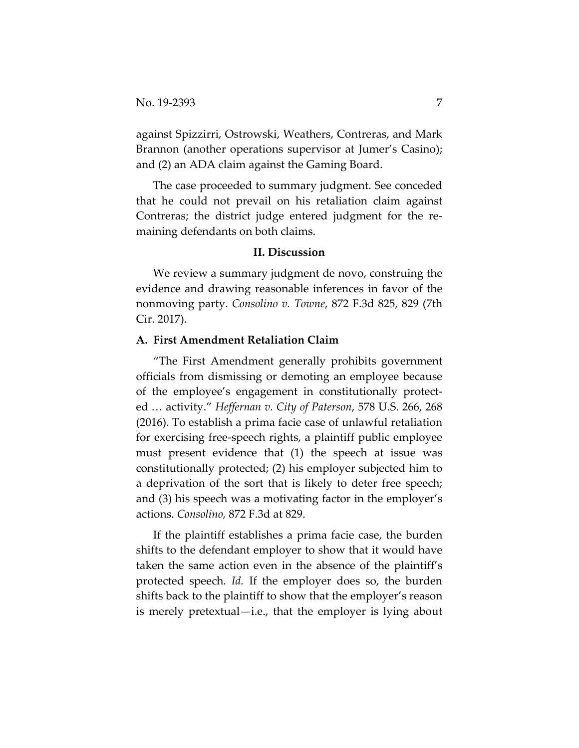against Spizzirri, Ostrowski, Weathers, Contreras, and Mark Brannon (another operations supervisor at Jumer's Casino); and (2) an ADA claim against the Gaming Board.

The case proceeded to summary judgment. See conceded that he could not prevail on his retaliation claim against Contreras; the district judge entered judgment for the remaining defendants on both claims.

#### **II. Discussion**

We review a summary judgment de novo, construing the evidence and drawing reasonable inferences in favor of the nonmoving party. *Consolino v. Towne*, 872 F.3d 825, 829 (7th Cir. 2017).

## **A. First Amendment Retaliation Claim**

"The First Amendment generally prohibits government officials from dismissing or demoting an employee because of the employee's engagement in constitutionally protected … activity." *Heffernan v. City of Paterson*, 578 U.S. 266, 268 (2016). To establish a prima facie case of unlawful retaliation for exercising free-speech rights, a plaintiff public employee must present evidence that (1) the speech at issue was constitutionally protected; (2) his employer subjected him to a deprivation of the sort that is likely to deter free speech; and (3) his speech was a motivating factor in the employer's actions. *Consolino,* 872 F.3d at 829.

If the plaintiff establishes a prima facie case, the burden shifts to the defendant employer to show that it would have taken the same action even in the absence of the plaintiff's protected speech. *Id.* If the employer does so, the burden shifts back to the plaintiff to show that the employer's reason is merely pretextual—i.e., that the employer is lying about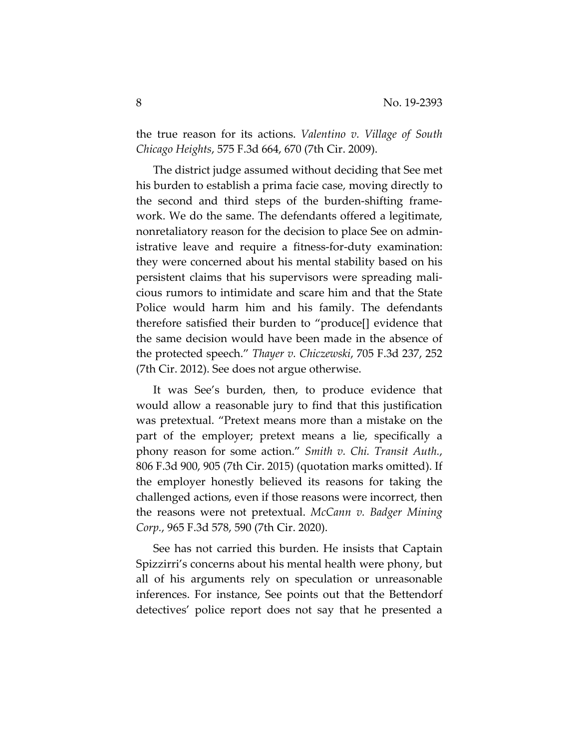the true reason for its actions. *Valentino v. Village of South Chicago Heights*, 575 F.3d 664, 670 (7th Cir. 2009).

The district judge assumed without deciding that See met his burden to establish a prima facie case, moving directly to the second and third steps of the burden-shifting framework. We do the same. The defendants offered a legitimate, nonretaliatory reason for the decision to place See on administrative leave and require a fitness-for-duty examination: they were concerned about his mental stability based on his persistent claims that his supervisors were spreading malicious rumors to intimidate and scare him and that the State Police would harm him and his family. The defendants therefore satisfied their burden to "produce[] evidence that the same decision would have been made in the absence of the protected speech." *Thayer v. Chiczewski*, 705 F.3d 237, 252 (7th Cir. 2012). See does not argue otherwise.

It was See's burden, then, to produce evidence that would allow a reasonable jury to find that this justification was pretextual. "Pretext means more than a mistake on the part of the employer; pretext means a lie, specifically a phony reason for some action." *Smith v. Chi. Transit Auth.*, 806 F.3d 900, 905 (7th Cir. 2015) (quotation marks omitted). If the employer honestly believed its reasons for taking the challenged actions, even if those reasons were incorrect, then the reasons were not pretextual. *McCann v. Badger Mining Corp.*, 965 F.3d 578, 590 (7th Cir. 2020).

See has not carried this burden. He insists that Captain Spizzirri's concerns about his mental health were phony, but all of his arguments rely on speculation or unreasonable inferences. For instance, See points out that the Bettendorf detectives' police report does not say that he presented a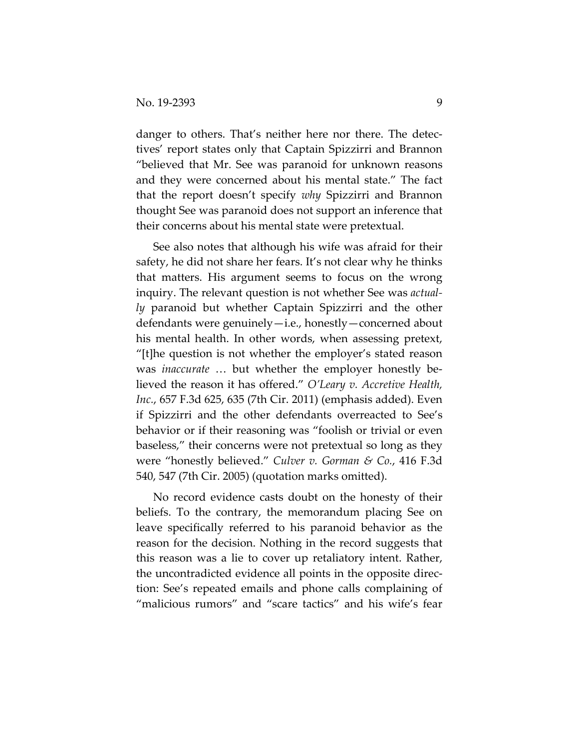danger to others. That's neither here nor there. The detectives' report states only that Captain Spizzirri and Brannon "believed that Mr. See was paranoid for unknown reasons and they were concerned about his mental state." The fact that the report doesn't specify *why* Spizzirri and Brannon thought See was paranoid does not support an inference that their concerns about his mental state were pretextual.

See also notes that although his wife was afraid for their safety, he did not share her fears. It's not clear why he thinks that matters. His argument seems to focus on the wrong inquiry. The relevant question is not whether See was *actually* paranoid but whether Captain Spizzirri and the other defendants were genuinely—i.e., honestly—concerned about his mental health. In other words, when assessing pretext, "[t]he question is not whether the employer's stated reason was *inaccurate* … but whether the employer honestly believed the reason it has offered." *O'Leary v. Accretive Health, Inc.*, 657 F.3d 625, 635 (7th Cir. 2011) (emphasis added). Even if Spizzirri and the other defendants overreacted to See's behavior or if their reasoning was "foolish or trivial or even baseless," their concerns were not pretextual so long as they were "honestly believed." *Culver v. Gorman & Co.*, 416 F.3d 540, 547 (7th Cir. 2005) (quotation marks omitted).

No record evidence casts doubt on the honesty of their beliefs. To the contrary, the memorandum placing See on leave specifically referred to his paranoid behavior as the reason for the decision. Nothing in the record suggests that this reason was a lie to cover up retaliatory intent. Rather, the uncontradicted evidence all points in the opposite direction: See's repeated emails and phone calls complaining of "malicious rumors" and "scare tactics" and his wife's fear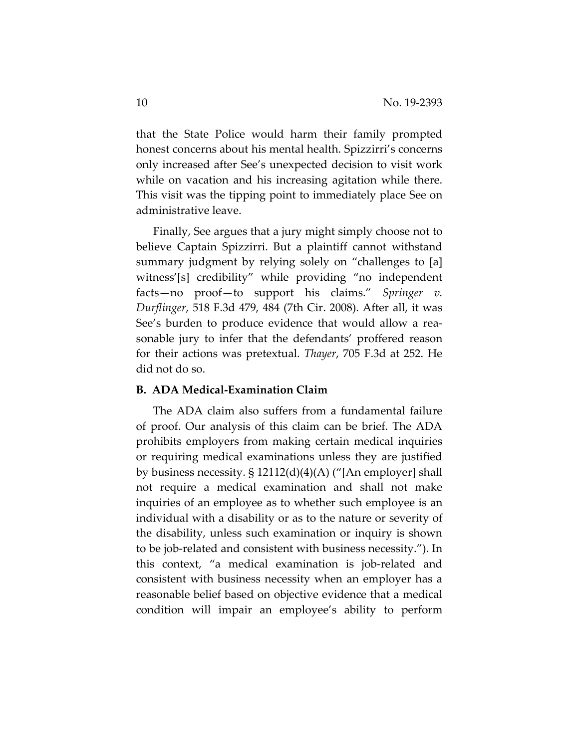that the State Police would harm their family prompted honest concerns about his mental health. Spizzirri's concerns only increased after See's unexpected decision to visit work while on vacation and his increasing agitation while there. This visit was the tipping point to immediately place See on administrative leave.

Finally, See argues that a jury might simply choose not to believe Captain Spizzirri. But a plaintiff cannot withstand summary judgment by relying solely on "challenges to [a] witness'[s] credibility" while providing "no independent facts—no proof—to support his claims." *Springer v. Durflinger*, 518 F.3d 479, 484 (7th Cir. 2008). After all, it was See's burden to produce evidence that would allow a reasonable jury to infer that the defendants' proffered reason for their actions was pretextual. *Thayer*, 705 F.3d at 252. He did not do so.

## **B. ADA Medical-Examination Claim**

The ADA claim also suffers from a fundamental failure of proof. Our analysis of this claim can be brief. The ADA prohibits employers from making certain medical inquiries or requiring medical examinations unless they are justified by business necessity. § 12112(d)(4)(A) ("[An employer] shall not require a medical examination and shall not make inquiries of an employee as to whether such employee is an individual with a disability or as to the nature or severity of the disability, unless such examination or inquiry is shown to be job-related and consistent with business necessity."). In this context, "a medical examination is job-related and consistent with business necessity when an employer has a reasonable belief based on objective evidence that a medical condition will impair an employee's ability to perform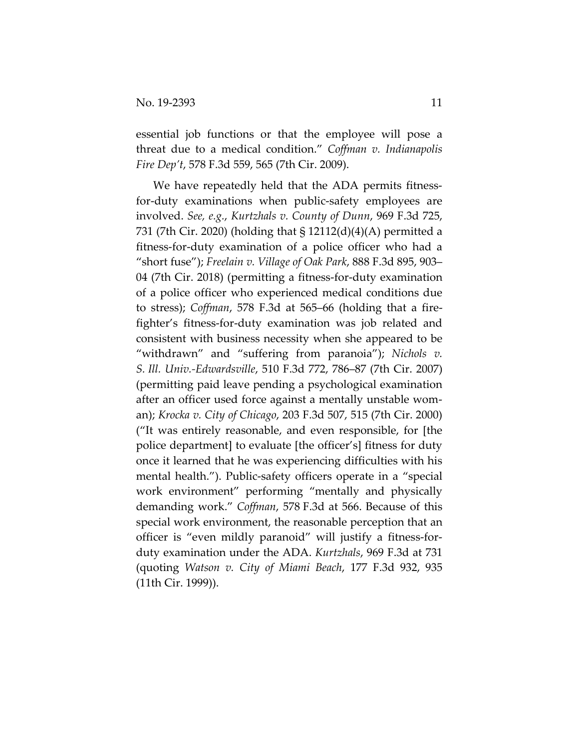essential job functions or that the employee will pose a threat due to a medical condition." *Coffman v. Indianapolis Fire Dep't*, 578 F.3d 559, 565 (7th Cir. 2009).

We have repeatedly held that the ADA permits fitnessfor-duty examinations when public-safety employees are involved. *See, e.g.*, *Kurtzhals v. County of Dunn*, 969 F.3d 725, 731 (7th Cir. 2020) (holding that § 12112(d)(4)(A) permitted a fitness-for-duty examination of a police officer who had a "short fuse"); *Freelain v. Village of Oak Park*, 888 F.3d 895, 903– 04 (7th Cir. 2018) (permitting a fitness-for-duty examination of a police officer who experienced medical conditions due to stress); *Coffman*, 578 F.3d at 565–66 (holding that a firefighter's fitness-for-duty examination was job related and consistent with business necessity when she appeared to be "withdrawn" and "suffering from paranoia"); *Nichols v. S. Ill. Univ.-Edwardsville*, 510 F.3d 772, 786–87 (7th Cir. 2007) (permitting paid leave pending a psychological examination after an officer used force against a mentally unstable woman); *Krocka v. City of Chicago*, 203 F.3d 507, 515 (7th Cir. 2000) ("It was entirely reasonable, and even responsible, for [the police department] to evaluate [the officer's] fitness for duty once it learned that he was experiencing difficulties with his mental health."). Public-safety officers operate in a "special work environment" performing "mentally and physically demanding work." *Coffman*, 578 F.3d at 566. Because of this special work environment, the reasonable perception that an officer is "even mildly paranoid" will justify a fitness-forduty examination under the ADA. *Kurtzhals*, 969 F.3d at 731 (quoting *Watson v. City of Miami Beach*, 177 F.3d 932, 935 (11th Cir. 1999)).